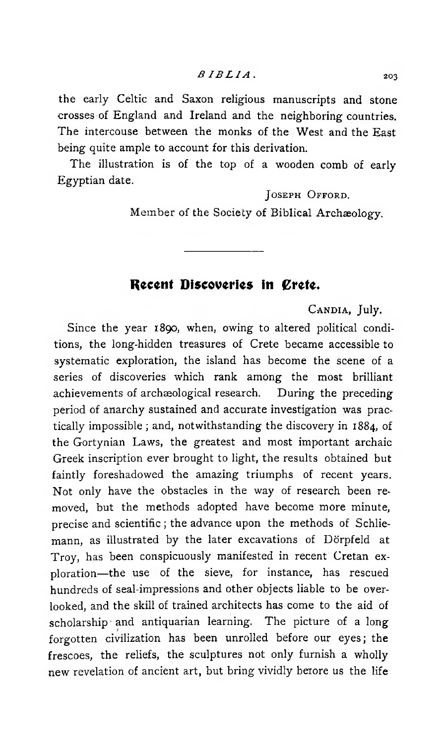the early Celtic and Saxon religious manuscripts and stone crosses of England and Ireland and the neighboring countries. The intercouse between the monks of the West and the East being quite ample to account for this derivation.

The illustration is of the top of a wooden comb of early Egyptian date.

**J oseph O fford.**

Member of the Society of Biblical Archaeology.

# **Recent Discoveries in Crete.**

**C andia,** July.

Since the year 1890, when, owing to altered political conditions, the long-hidden treasures of Crete became accessible to systematic exploration, the island has become the scene of a series of discoveries which rank among the most brilliant achievements of archaeological research. During the preceding period of anarchy sustained and accurate investigation was practically impossible ; and, notwithstanding the discovery in 1884, of the Gortynian Laws, the greatest and most important archaic Greek inscription ever brought to light, the results obtained but faintly foreshadowed the amazing triumphs of recent years. Not only have the obstacles in the way of research been removed, but the methods adopted have become more minute, precise and scientific ; the advance upon the methods of Schliemann, as illustrated by the later excavations of Dörpfeld at Troy, has been conspicuously manifested in recent Cretan exploration— the use of the sieve, for instance, has rescued hundreds of seal-impressions and other objects liable to be overlooked, and the skill of trained architects has come to the aid of scholarship and antiquarian learning. The picture of a long forgotten civilization has been unrolled before our eyes; the frescoes, the reliefs, the sculptures not only furnish a wholly new revelation of ancient art, but bring vividly berore us the life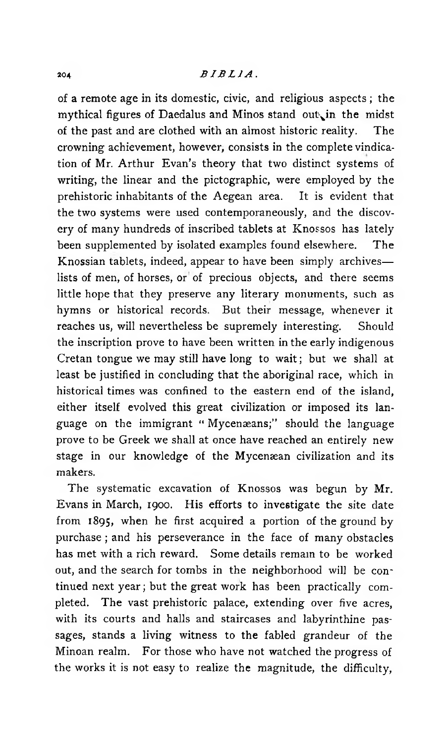## 204 *B I B L I A .*

of a remote age in its domestic, civic, and religious aspects ; the mythical figures of Daedalus and Minos stand out in the midst of the past and are clothed with an almost historic reality. The crowning achievement, however, consists in the complete vindication of Mr. Arthur Evan's theory that two distinct systems of writing, the linear and the pictographic, were employed by the prehistoric inhabitants of the Aegean area. It is evident that the two systems were used contemporaneously, and the discovery of many hundreds of inscribed tablets at Knossos has lately been supplemented by isolated examples found elsewhere. The Knossian tablets, indeed, appear to have been simply archives lists of men, of horses, or of precious objects, and there seems little hope that they preserve any literary monuments, such as hymns or historical records. But their message, whenever it reaches us, will nevertheless be supremely interesting. Should the inscription prove to have been written in the early indigenous Cretan tongue we may still have long to wait; but we shall at least be justified in concluding that the aboriginal race, which in historical times was confined to the eastern end of the island, either itself evolved this great civilization or imposed its language on the immigrant " Mycenæans;" should the language prove to be Greek we shall at once have reached an entirely new stage in our knowledge of the Mycenæan civilization and its makers.

The systematic excavation of Knossos was begun by Mr. Evans in March, 1900. His efforts to investigate the site date from 1895, when he first acquired a portion of the ground by purchase ; and his perseverance in the face of many obstacles has met with a rich reward. Some details remain to be worked out, and the search for tombs in the neighborhood will be continued next year ; but the great work has been practically completed. The vast prehistoric palace, extending over five acres, with its courts and halls and staircases and labyrinthine passages, stands a living witness to the fabled grandeur of the Minoan realm. For those who have not watched the progress of the works it is not easy to realize the magnitude, the difficulty,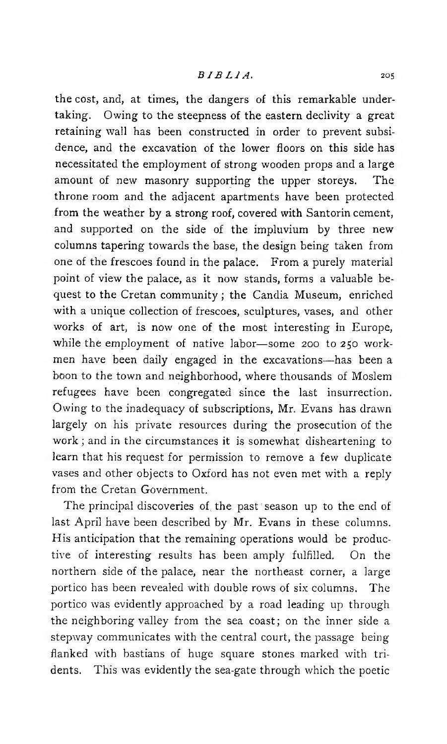## *BIBLIA* . 205

the cost, and, at times, the dangers of this remarkable undertaking. Owing to the steepness of the eastern declivity a great retaining wall has been constructed in order to prevent subsidence, and the excavation of the lower floors on this side has necessitated the employment of strong wooden props and a large amount of new masonry supporting the upper storeys. The throne room and the adjacent apartments have been protected from the weather by a strong roof, covered with Santorin cement, and supported on the side of the impluvium by three new columns tapering towards the base, the design being taken from one of the frescoes found in the palace. From a purely material point of view the palace, as it now stands, forms a valuable bequest to the Cretan community ; the Candia Museum, enriched with a unique collection of frescoes, sculptures, vases, and other works of art, is now one of the most interesting in Europe, while the employment of native labor— some 200 to 250 workmen have been daily engaged in the excavations— has been a boon to the town and neighborhood, where thousands of Moslem refugees have been congregated since the last insurrection. Owing to the inadequacy of subscriptions, Mr. Evans has drawn largely on his private resources during the prosecution of the work ; and in the circumstances it is somewhat disheartening to learn that his request for permission to remove a few duplicate vases and other objects to Oxford has not even met with a reply from the Cretan Government.

The principal discoveries of the past season up to the end of last April have been described by Mr. Evans in these columns. His anticipation that the remaining operations would be productive of interesting results has been amply fulfilled. On the northern side of the palace, near the northeast corner, a large portico has been revealed with double rows of six columns. The portico was evidently approached by a road leading up through the neighboring valley from the sea coast; on the inner side a stepway communicates with the central court, the passage beingflanked with bastians of huge square stones marked with tridents. This was evidently the sea-gate through which the poetic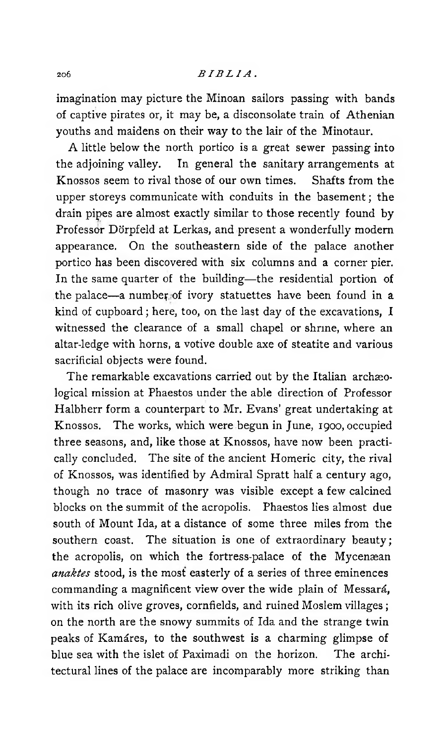## 206 *B IB LIA* .

imagination may picture the Minoan sailors passing with bands of captive pirates or, it may be, a disconsolate train of Athenian youths and maidens on their way to the lair of the Minotaur.

A little below the north portico is a great sewer passing into the adjoining valley. In general the sanitary arrangements at Knossos seem to rival those of our own times. Shafts from the upper storeys communicate with conduits in the basement ; the drain pipes are almost exactly similar to those recently found by Professor Dörpfeld at Lerkas, and present a wonderfully modem appearance. On the southeastern side of the palace another portico has been discovered with six columns and a corner pier. In the same quarter of the building— the residential portion of the palace—a number of ivory statuettes have been found in a kind of cupboard ; here, too, on the last day of the excavations, I witnessed the clearance of a small chapel or shrine, where an altar-ledge with horns, a votive double axe of steatite and various sacrificial objects were found.

The remarkable excavations carried out by the Italian archaeological mission at Phaestos under the able direction of Professor Halbherr form a counterpart to Mr. Evans' great undertaking at Knossos. The works, which were begun in June, 1900, occupied three seasons, and, like those at Knossos, have now been practically concluded. The site of the ancient Homeric city, the rival of Knossos, was identified by Admiral Spratt half a century ago, though no trace of masonry was visible except a few calcined blocks on the summit of the acropolis. Phaestos lies almost due south of Mount Ida, at a distance of some three miles from the southern coast. The situation is one of extraordinary beauty; the acropolis, on which the fortress-palace of the Mycenæan *anaktes* stood, is the most easterly of a series of three eminences commanding a magnificent view over the wide plain of Messarâ, with its rich olive groves, cornfields, and ruined Moslem villages ; on the north are the snowy summits of Ida and the strange twin peaks of Kamäres, to the southwest is a charming glimpse of blue sea with the islet of Paximadi on the horizon. The architectural lines of the palace are incomparably more striking than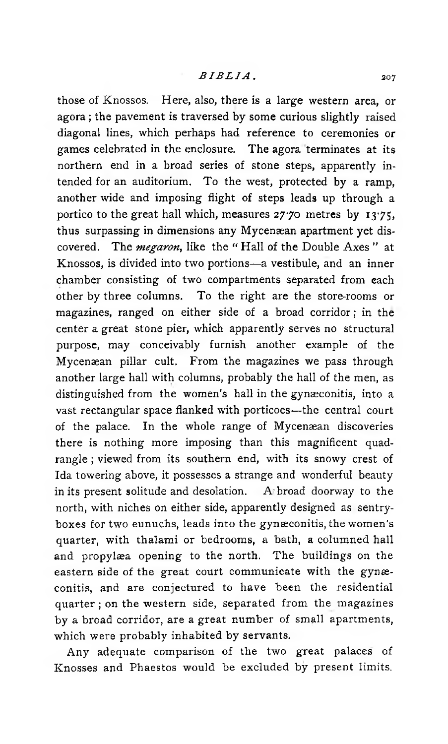those of Knossos. Here, also, there is a large western area, or agora ; the pavement is traversed by some curious slightly raised diagonal lines, which perhaps had reference to ceremonies or games celebrated in the enclosure. The agora terminates at its northern end in a broad series of stone steps, apparently intended for an auditorium. To the west, protected by a ramp, another wide and imposing flight of steps leads up through a portico to the great hall which, measures  $27.70$  metres by  $13.75$ , thus surpassing in dimensions any Mycenæan apartment yet discovered. The *megaron*, like the "Hall of the Double Axes" at Knossos, is divided into two portions— a vestibule, and an inner chamber consisting of two compartments separated from each other by three columns. To the right are the store-rooms or magazines, ranged on either side of a broad corridor; in the center a great stone pier, which apparently serves no structural purpose, may conceivably furnish another example of the Mycenaean pillar cult. From the magazines we pass through another large hall with columns, probably the hall of the men, as distinguished from the women's hall in the gynæconitis, into a vast rectangular space flanked with porticoes— the central court of the palace. In the whole range of Mycenæan discoveries there is nothing more imposing than this magnificent quadrangle ; viewed from its southern end, with its snowy crest of Ida towering above, it possesses a strange and wonderful beauty in its present solitude and desolation.  $A$  broad doorway to the north, with niches on either side, apparently designed as sentryboxes for two eunuchs, leads into the gynæconitis, the women's quarter, with thalami or bedrooms, a bath, a columned hall and propylæa opening to the north. The buildings on the eastern side of the great court communicate with the gynæconitis, and are conjectured to have been the residential quarter ; on the western side, separated from the magazines by a broad corridor, are a great number of small apartments, which were probably inhabited by servants.

Any adequate comparison of the two great palaces of Knosses and Phaestos would be excluded by present limits.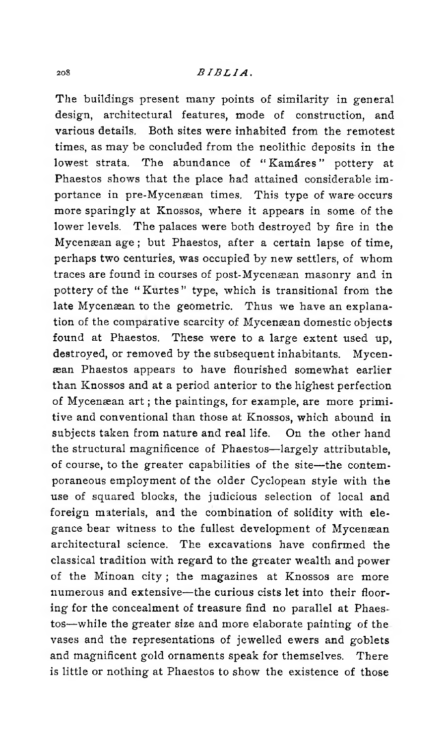### 208 *BIBLIA* .

The buildings present many points of similarity in general design, architectural features, mode of construction, and various details. Both sites were inhabited from the remotest times, as may be concluded from the neolithic deposits in the lowest strata. The abundance of "Kamáres" pottery at Phaestos shows that the place had attained considerable im portance in pre-Mycenæan times. This type of ware occurs more sparingly at Knossos, where it appears in some of the lower levels. The palaces were both destroyed by fire in the Mycenaean age ; but Phaestos, after a certain lapse of time, perhaps two centuries, was occupied by new settlers, of whom traces are found in courses of post-Mycenaean masonry and in pottery of the "Kurtes" type, which is transitional from the late Mycenæan to the geometric. Thus we have an explanation of the comparative scarcity of Mycenæan domestic objects found at Phaestos. These were to a large extent used up, destroyed, or removed by the subsequent inhabitants. Mycenaean Phaestos appears to have flourished somewhat earlier than Knossos and at a period anterior to the highest perfection of Mycenaean art ; the paintings, for example, are more primitive and conventional than those at Knossos, which abound in subjects taken from nature and real life. On the other hand the structural magnificence of Phaestos— largely attributable, of course, to the greater capabilities of the site— the contemporaneous employment of the older Cyclopean style with the use of squared blocks, the judicious selection of local and foreign materials, and the combination of solidity with elegance bear witness to the fullest development of Mycenæan architectural science. The excavations have confirmed the classical tradition with regard to the greater wealth and power of the Minoan city ; the magazines at Knossos are more numerous and extensive— the curious cists let into their flooring for the concealment of treasure find no parallel at Phaestos— while the greater size and more elaborate painting of the vases and the representations of jewelled ewers and goblets and magnificent gold ornaments speak for themselves. There is little or nothing at Phaestos to show the existence of those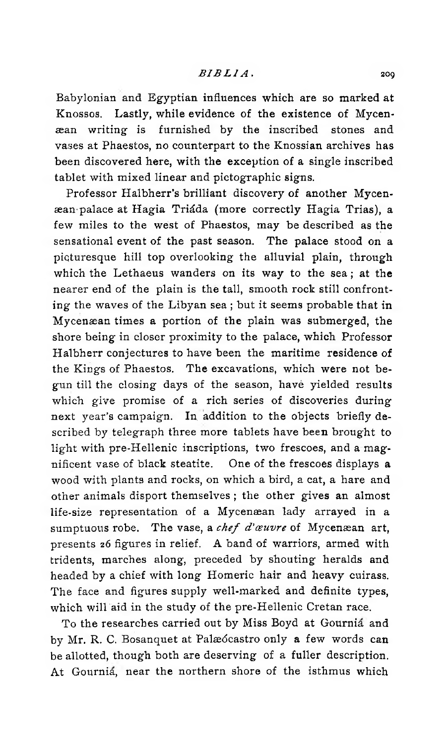Babylonian and Egyptian influences which are so marked at Knossos. Lastly, while evidence of the existence of Mycenaean writing is furnished by the inscribed stones and vases at Phaestos, no counterpart to the Knossian archives has been discovered here, with the exception of a single inscribed tablet with mixed linear and pictographic signs.

Professor Halbherr's brilliant discovery of another Mycenaeampalace at Hagia Triâda (more correctly Hagia Trias), a few miles to the wést of Phaestos, may be described as the sensational event of the past season. The palace stood on a picturesque hill top overlooking the alluvial plain, through which the Lethaeus wanders on its way to the sea ; at the nearer end of the plain is the tall, smooth rock still confronting the waves of the Libyan sea ; but it seems probable that in Mycenaean times a portion of the plain was submerged, the shore being in closer proximity to the palace, which Professor Halbherr conjectures to have been the maritime residence of the Kings of Phaestos. The excavations, which were not begun till the closing days of the season, havè yielded results which give promise of a rich series of discoveries during next year's campaign. In addition to the objects briefly described by telegraph three more tablets have been brought to light with pre-Hellenic inscriptions, two frescoes, and a magnificent vase of black steatite. One of the frescoes displays a wood with plants and rocks, on which a bird, a cat, a hare and other animals disport themselves ; the other gives an almost life-size representation of a Mycenaean lady arrayed in a sumptuous robe. The vase, a *chef d'œuvre* of Mycenæan art, presents 26 figures in relief. A band of warriors, armed with tridents, marches along, preceded by shouting heralds and headed by a chief with long Homeric hair and heavy cuirass. The face and figures supply well-marked and definite types, which will aid in the study of the pre-Hellenic Cretan race.

To the researches carried out by Miss Boyd at Gournia and by Mr. R. C. Bosanquet at Palædcastro only a few words can be allotted, though both are deserving of a fuller description. At Gournia, near the northern shore of the isthmus which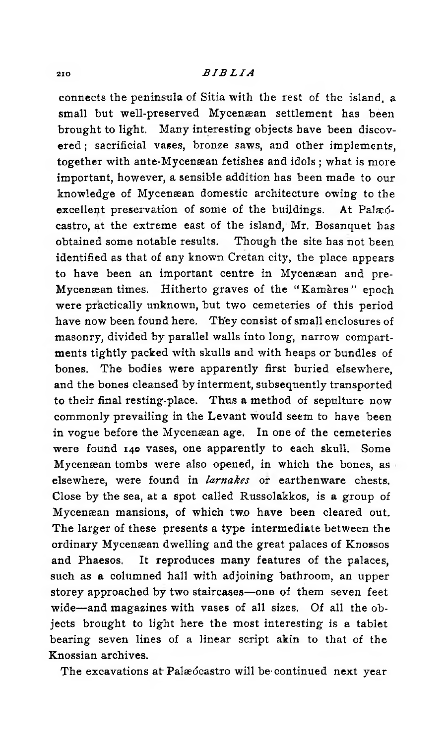## **<sup>210</sup>** *BIBLIA*

connects the peninsula of Sitia with the rest of the island, a small but well-preserved Mycenæan settlement has been brought to light. Many interesting objects have been discovered ; sacrificial vases, bronze saws, and other implements, together with ante-Mycenæan fetishes and idols ; what is more important, however, a sensible addition has been made to our knowledge of Mycenæan domestic architecture owing to the excellent preservation of some of the buildings. At Palædcastro, at the extreme east of the island, Mr. Bosanquet has obtained some notable results. Though the site has not been identified as that of any known Cretan city, the place appears to have been an important centre in Mycenæan and pre-Mycenæan times. Hitherto graves of the " Kamàres " epoch were practically unknown, but two cemeteries of this period have now been found here. Th'ey consist of small enclosures of masonry, divided by parallel walls into long, narrow compartments tightly packed with skulls and with heaps or bundles of bones. The bodies were apparently first buried elsewhere, and the bones cleansed by interment, subsequently transported to their final resting-place. Thus a method of sepulture now commonly prevailing in the Levant would seem to have been in vogue before the Mycenaean age. In one of the cemeteries were found 140 vases, one apparently to each skull. Some Mycenæan tombs were also opened, in which the bones, as elsewhere, were found in *larnakes* or earthenware chests. Close by the sea, at a spot called Russolakkos, is a group of Mycenaean mansions, of which two have been cleared out. The larger of these presents a type intermediate between the ordinary Mycenaean dwelling and the great palaces of Knossos and Phaesos. It reproduces many features of the palaces, such as a columned hall with adjoining bathroom, an upper storey approached by two staircases— one of them seven feet wide— and magazines with vases of all sizes. Of all the objects brought to light here the most interesting is a tablet bearing seven lines of a linear script akin to that of the Knossian archives.

The excavations at Palæócastro will be continued next year